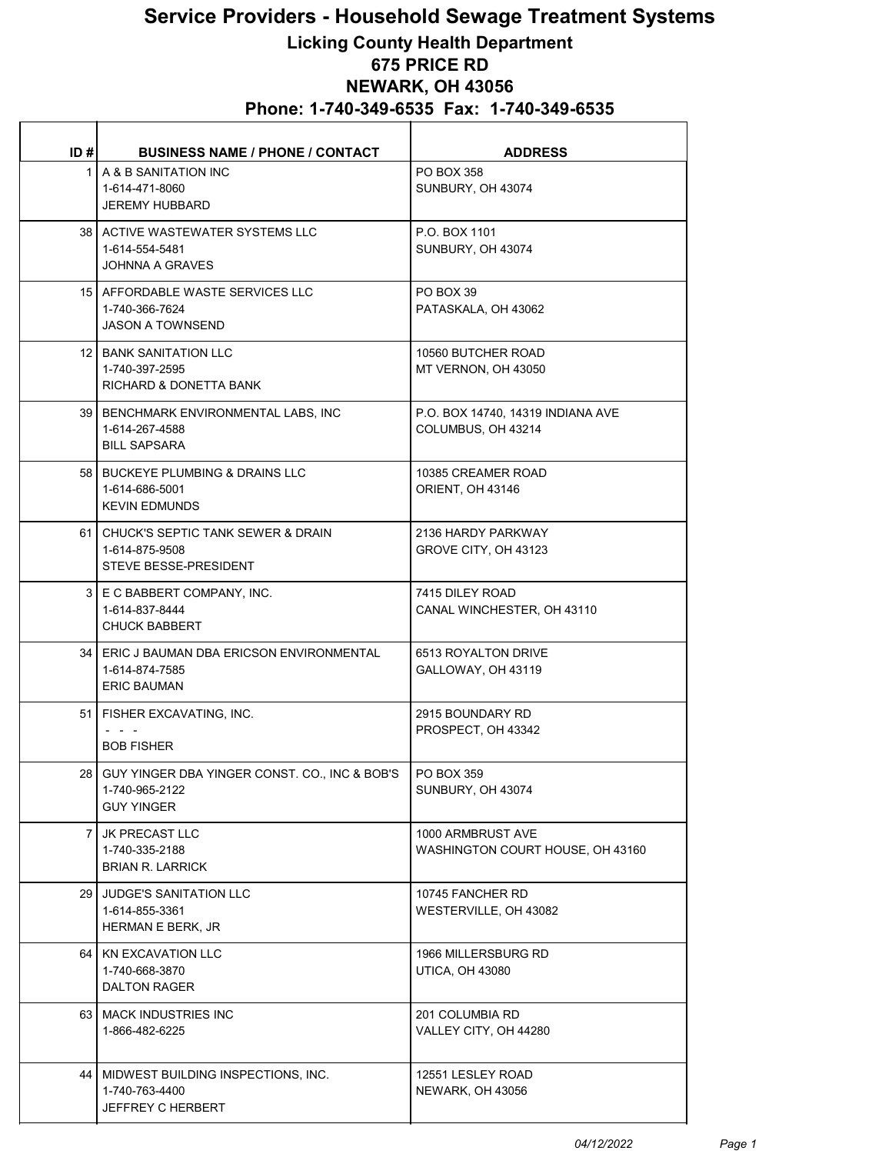## Service Providers - Household Sewage Treatment Systems

## Licking County Health Department 675 PRICE RD NEWARK, OH 43056 Phone: 1-740-349-6535 Fax: 1-740-349-6535

| ID#            | <b>BUSINESS NAME / PHONE / CONTACT</b>                                                   | <b>ADDRESS</b>                                          |
|----------------|------------------------------------------------------------------------------------------|---------------------------------------------------------|
|                | 1   A & B SANITATION INC<br>1-614-471-8060<br><b>JEREMY HUBBARD</b>                      | <b>PO BOX 358</b><br>SUNBURY, OH 43074                  |
|                | 38 ACTIVE WASTEWATER SYSTEMS LLC<br>1-614-554-5481<br>JOHNNA A GRAVES                    | P.O. BOX 1101<br>SUNBURY, OH 43074                      |
|                | 15 AFFORDABLE WASTE SERVICES LLC<br>1-740-366-7624<br><b>JASON A TOWNSEND</b>            | PO BOX 39<br>PATASKALA, OH 43062                        |
|                | 12   BANK SANITATION LLC<br>1-740-397-2595<br>RICHARD & DONETTA BANK                     | 10560 BUTCHER ROAD<br>MT VERNON, OH 43050               |
|                | 39   BENCHMARK ENVIRONMENTAL LABS, INC<br>1-614-267-4588<br><b>BILL SAPSARA</b>          | P.O. BOX 14740, 14319 INDIANA AVE<br>COLUMBUS, OH 43214 |
|                | 58 BUCKEYE PLUMBING & DRAINS LLC<br>1-614-686-5001<br><b>KEVIN EDMUNDS</b>               | 10385 CREAMER ROAD<br>ORIENT, OH 43146                  |
|                | 61   CHUCK'S SEPTIC TANK SEWER & DRAIN<br>1-614-875-9508<br><b>STEVE BESSE-PRESIDENT</b> | 2136 HARDY PARKWAY<br>GROVE CITY, OH 43123              |
|                | 3   E C BABBERT COMPANY, INC.<br>1-614-837-8444<br><b>CHUCK BABBERT</b>                  | 7415 DILEY ROAD<br>CANAL WINCHESTER, OH 43110           |
|                | 34   ERIC J BAUMAN DBA ERICSON ENVIRONMENTAL<br>1-614-874-7585<br><b>ERIC BAUMAN</b>     | 6513 ROYALTON DRIVE<br>GALLOWAY, OH 43119               |
|                | 51   FISHER EXCAVATING, INC.<br><b>BOB FISHER</b>                                        | 2915 BOUNDARY RD<br>PROSPECT, OH 43342                  |
|                | 28   GUY YINGER DBA YINGER CONST. CO., INC & BOB'S<br>1-740-965-2122<br>GUY YINGER       | PO BOX 359<br>SUNBURY, OH 43074                         |
| $\overline{7}$ | JK PRECAST LLC<br>1-740-335-2188<br><b>BRIAN R. LARRICK</b>                              | 1000 ARMBRUST AVE<br>WASHINGTON COURT HOUSE, OH 43160   |
|                | 29 JUDGE'S SANITATION LLC<br>1-614-855-3361<br>HERMAN E BERK, JR                         | 10745 FANCHER RD<br>WESTERVILLE, OH 43082               |
|                | 64   KN EXCAVATION LLC<br>1-740-668-3870<br><b>DALTON RAGER</b>                          | 1966 MILLERSBURG RD<br>UTICA, OH 43080                  |
|                | 63   MACK INDUSTRIES INC<br>1-866-482-6225                                               | 201 COLUMBIA RD<br>VALLEY CITY, OH 44280                |
| 44             | MIDWEST BUILDING INSPECTIONS, INC.<br>1-740-763-4400<br><b>JEFFREY C HERBERT</b>         | 12551 LESLEY ROAD<br>NEWARK, OH 43056                   |